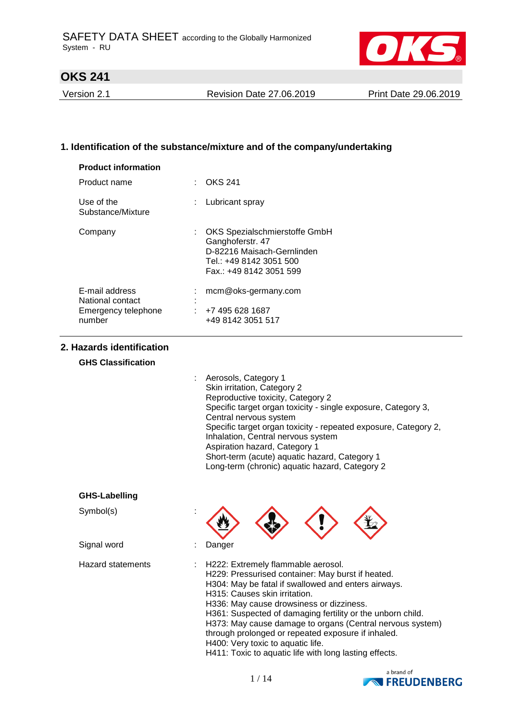

Version 2.1 Revision Date 27.06.2019 Print Date 29.06.2019

## **1. Identification of the substance/mixture and of the company/undertaking**

| <b>Product information</b>         |                   |                                                                                                                                         |
|------------------------------------|-------------------|-----------------------------------------------------------------------------------------------------------------------------------------|
| Product name                       |                   | <b>OKS 241</b>                                                                                                                          |
| Use of the<br>Substance/Mixture    |                   | Lubricant spray                                                                                                                         |
| Company                            |                   | : OKS Spezialschmierstoffe GmbH<br>Ganghoferstr. 47<br>D-82216 Maisach-Gernlinden<br>Tel.: +49 8142 3051 500<br>Fax.: +49 8142 3051 599 |
| E-mail address<br>National contact | ٠<br>$\mathbf{r}$ | mcm@oks-germany.com                                                                                                                     |
| Emergency telephone<br>number      | ÷                 | +7 495 628 1687<br>+49 8142 3051 517                                                                                                    |

#### **2. Hazards identification**

### **GHS Classification**

| : Aerosols, Category 1                                          |
|-----------------------------------------------------------------|
| Skin irritation, Category 2                                     |
| Reproductive toxicity, Category 2                               |
| Specific target organ toxicity - single exposure, Category 3,   |
| Central nervous system                                          |
| Specific target organ toxicity - repeated exposure, Category 2, |
| Inhalation, Central nervous system                              |
| Aspiration hazard, Category 1                                   |
| Short-term (acute) aquatic hazard, Category 1                   |
| Long-term (chronic) aquatic hazard, Category 2                  |

| <b>GHS-Labelling</b>     |                                                                                                                                                                                                                                                                                                                                                                                                                                                                                                             |
|--------------------------|-------------------------------------------------------------------------------------------------------------------------------------------------------------------------------------------------------------------------------------------------------------------------------------------------------------------------------------------------------------------------------------------------------------------------------------------------------------------------------------------------------------|
| Symbol(s)                |                                                                                                                                                                                                                                                                                                                                                                                                                                                                                                             |
| Signal word              | Danger                                                                                                                                                                                                                                                                                                                                                                                                                                                                                                      |
| <b>Hazard statements</b> | H222: Extremely flammable aerosol.<br>H229: Pressurised container: May burst if heated.<br>H304: May be fatal if swallowed and enters airways.<br>H315: Causes skin irritation.<br>H336: May cause drowsiness or dizziness.<br>H361: Suspected of damaging fertility or the unborn child.<br>H373: May cause damage to organs (Central nervous system)<br>through prolonged or repeated exposure if inhaled.<br>H400: Very toxic to aquatic life.<br>H411: Toxic to aquatic life with long lasting effects. |

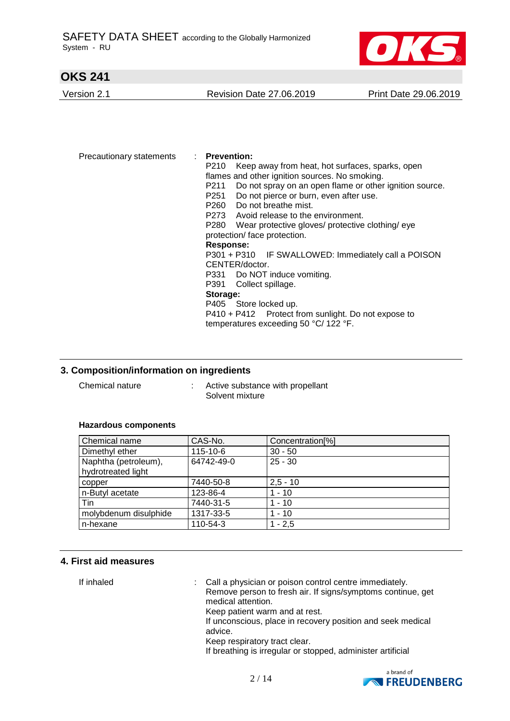

Version 2.1 Revision Date 27.06.2019 Print Date 29.06.2019

Precautionary statements : **Prevention:**  P210 Keep away from heat, hot surfaces, sparks, open flames and other ignition sources. No smoking. P211 Do not spray on an open flame or other ignition source. P251 Do not pierce or burn, even after use. P260 Do not breathe mist. P273 Avoid release to the environment. P280 Wear protective gloves/ protective clothing/ eye protection/ face protection. **Response:**  P301 + P310 IF SWALLOWED: Immediately call a POISON CENTER/doctor. P331 Do NOT induce vomiting. P391 Collect spillage. **Storage:**  P405 Store locked up. P410 + P412 Protect from sunlight. Do not expose to temperatures exceeding 50 °C/ 122 °F.

### **3. Composition/information on ingredients**

Chemical nature : Active substance with propellant Solvent mixture

#### **Hazardous components**

| Chemical name         | CAS-No.        | Concentration <sup>[%]</sup> |
|-----------------------|----------------|------------------------------|
| Dimethyl ether        | $115 - 10 - 6$ | $30 - 50$                    |
| Naphtha (petroleum),  | 64742-49-0     | $25 - 30$                    |
| hydrotreated light    |                |                              |
| copper                | 7440-50-8      | $2.5 - 10$                   |
| n-Butyl acetate       | 123-86-4       | $1 - 10$                     |
| Tin                   | 7440-31-5      | $1 - 10$                     |
| molybdenum disulphide | 1317-33-5      | $1 - 10$                     |
| n-hexane              | 110-54-3       | $1 - 2,5$                    |

#### **4. First aid measures**

If inhaled  $\blacksquare$  : Call a physician or poison control centre immediately. Remove person to fresh air. If signs/symptoms continue, get medical attention. Keep patient warm and at rest. If unconscious, place in recovery position and seek medical advice. Keep respiratory tract clear. If breathing is irregular or stopped, administer artificial

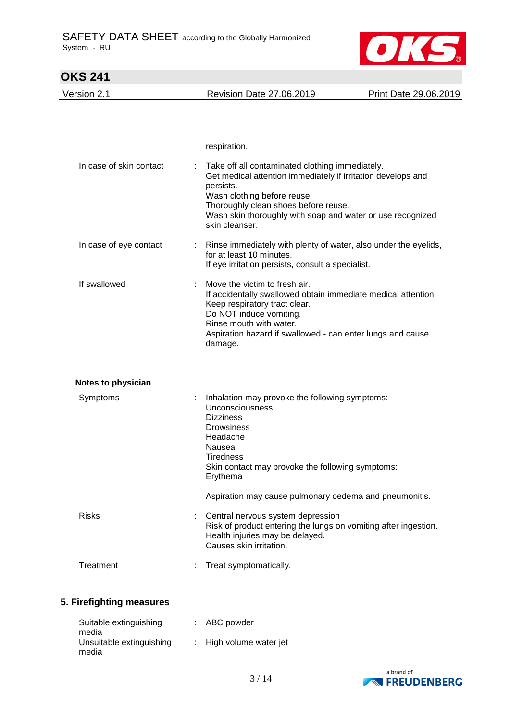

| <b>OKS 241</b>            |                                                                                                                                                                                                                                                                |                       |
|---------------------------|----------------------------------------------------------------------------------------------------------------------------------------------------------------------------------------------------------------------------------------------------------------|-----------------------|
| Version 2.1               | <b>Revision Date 27.06.2019</b>                                                                                                                                                                                                                                | Print Date 29.06.2019 |
| In case of skin contact   | respiration.<br>Take off all contaminated clothing immediately.                                                                                                                                                                                                |                       |
|                           | Get medical attention immediately if irritation develops and<br>persists.<br>Wash clothing before reuse.<br>Thoroughly clean shoes before reuse.<br>Wash skin thoroughly with soap and water or use recognized<br>skin cleanser.                               |                       |
| In case of eye contact    | Rinse immediately with plenty of water, also under the eyelids,<br>for at least 10 minutes.<br>If eye irritation persists, consult a specialist.                                                                                                               |                       |
| If swallowed              | Move the victim to fresh air.<br>If accidentally swallowed obtain immediate medical attention.<br>Keep respiratory tract clear.<br>Do NOT induce vomiting.<br>Rinse mouth with water.<br>Aspiration hazard if swallowed - can enter lungs and cause<br>damage. |                       |
| <b>Notes to physician</b> |                                                                                                                                                                                                                                                                |                       |
| Symptoms                  | Inhalation may provoke the following symptoms:<br>Unconsciousness<br><b>Dizziness</b><br><b>Drowsiness</b><br>Headache<br>Nausea<br>Tiredness<br>Skin contact may provoke the following symptoms:<br>Erythema                                                  |                       |
|                           | Aspiration may cause pulmonary oedema and pneumonitis.                                                                                                                                                                                                         |                       |
| <b>Risks</b>              | Central nervous system depression<br>Risk of product entering the lungs on vomiting after ingestion.<br>Health injuries may be delayed.<br>Causes skin irritation.                                                                                             |                       |
| Treatment                 | Treat symptomatically.                                                                                                                                                                                                                                         |                       |

## **5. Firefighting measures**

| Suitable extinguishing<br>media   | $:$ ABC powder          |
|-----------------------------------|-------------------------|
| Unsuitable extinguishing<br>media | : High volume water jet |

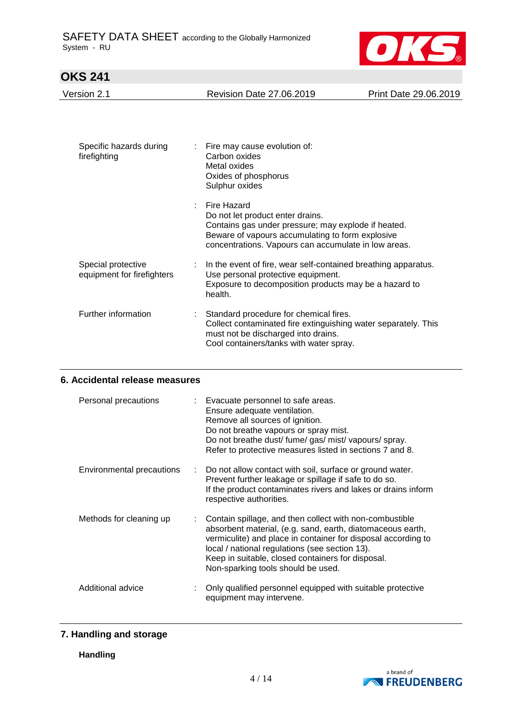

|--|

| Specific hazards during<br>÷.<br>firefighting    | Fire may cause evolution of:<br>Carbon oxides<br>Metal oxides<br>Oxides of phosphorus<br>Sulphur oxides                                                                                                            |
|--------------------------------------------------|--------------------------------------------------------------------------------------------------------------------------------------------------------------------------------------------------------------------|
|                                                  | Fire Hazard<br>Do not let product enter drains.<br>Contains gas under pressure; may explode if heated.<br>Beware of vapours accumulating to form explosive<br>concentrations. Vapours can accumulate in low areas. |
| Special protective<br>equipment for firefighters | In the event of fire, wear self-contained breathing apparatus.<br>Use personal protective equipment.<br>Exposure to decomposition products may be a hazard to<br>health.                                           |
| Further information<br>÷                         | Standard procedure for chemical fires.<br>Collect contaminated fire extinguishing water separately. This<br>must not be discharged into drains.<br>Cool containers/tanks with water spray.                         |

## **6. Accidental release measures**

| Personal precautions      | : Evacuate personnel to safe areas.<br>Ensure adequate ventilation.<br>Remove all sources of ignition.<br>Do not breathe vapours or spray mist.<br>Do not breathe dust/fume/gas/mist/vapours/spray.<br>Refer to protective measures listed in sections 7 and 8.                                                                     |
|---------------------------|-------------------------------------------------------------------------------------------------------------------------------------------------------------------------------------------------------------------------------------------------------------------------------------------------------------------------------------|
| Environmental precautions | : Do not allow contact with soil, surface or ground water.<br>Prevent further leakage or spillage if safe to do so.<br>If the product contaminates rivers and lakes or drains inform<br>respective authorities.                                                                                                                     |
| Methods for cleaning up   | Contain spillage, and then collect with non-combustible<br>absorbent material, (e.g. sand, earth, diatomaceous earth,<br>vermiculite) and place in container for disposal according to<br>local / national regulations (see section 13).<br>Keep in suitable, closed containers for disposal.<br>Non-sparking tools should be used. |
| Additional advice         | Only qualified personnel equipped with suitable protective<br>equipment may intervene.                                                                                                                                                                                                                                              |

## **7. Handling and storage**

**Handling**

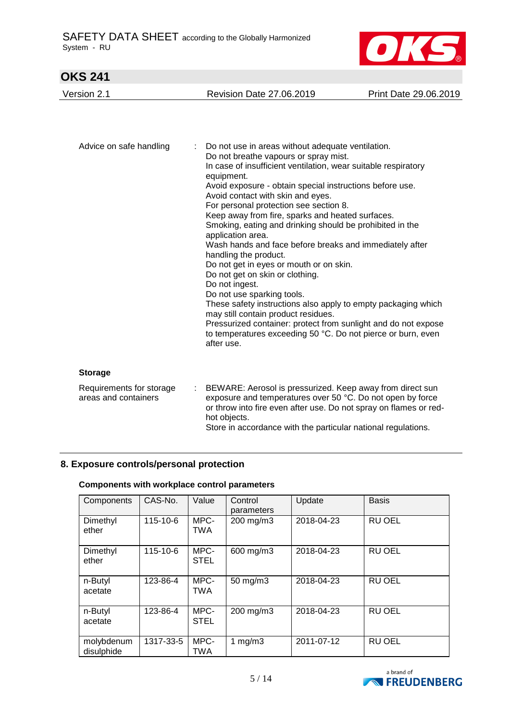

| Version 2.1 | <b>Revision Date 27.06.2019</b> | Print Date 29.06.2019 |
|-------------|---------------------------------|-----------------------|
|             |                                 |                       |

| Advice on safe handling | : Do not use in areas without adequate ventilation.<br>Do not breathe vapours or spray mist.<br>In case of insufficient ventilation, wear suitable respiratory<br>equipment.<br>Avoid exposure - obtain special instructions before use.<br>Avoid contact with skin and eyes.<br>For personal protection see section 8.<br>Keep away from fire, sparks and heated surfaces.<br>Smoking, eating and drinking should be prohibited in the<br>application area.<br>Wash hands and face before breaks and immediately after<br>handling the product.<br>Do not get in eyes or mouth or on skin.<br>Do not get on skin or clothing.<br>Do not ingest.<br>Do not use sparking tools.<br>These safety instructions also apply to empty packaging which<br>may still contain product residues.<br>Pressurized container: protect from sunlight and do not expose<br>to temperatures exceeding 50 °C. Do not pierce or burn, even<br>after use. |
|-------------------------|----------------------------------------------------------------------------------------------------------------------------------------------------------------------------------------------------------------------------------------------------------------------------------------------------------------------------------------------------------------------------------------------------------------------------------------------------------------------------------------------------------------------------------------------------------------------------------------------------------------------------------------------------------------------------------------------------------------------------------------------------------------------------------------------------------------------------------------------------------------------------------------------------------------------------------------|
|-------------------------|----------------------------------------------------------------------------------------------------------------------------------------------------------------------------------------------------------------------------------------------------------------------------------------------------------------------------------------------------------------------------------------------------------------------------------------------------------------------------------------------------------------------------------------------------------------------------------------------------------------------------------------------------------------------------------------------------------------------------------------------------------------------------------------------------------------------------------------------------------------------------------------------------------------------------------------|

#### **Storage**

| Requirements for storage | : BEWARE: Aerosol is pressurized. Keep away from direct sun                                                                                     |
|--------------------------|-------------------------------------------------------------------------------------------------------------------------------------------------|
| areas and containers     | exposure and temperatures over 50 °C. Do not open by force<br>or throw into fire even after use. Do not spray on flames or red-<br>hot objects. |
|                          | Store in accordance with the particular national regulations.                                                                                   |

### **8. Exposure controls/personal protection**

### **Components with workplace control parameters**

| Components               | CAS-No.        | Value               | Control<br>parameters | Update     | <b>Basis</b>  |
|--------------------------|----------------|---------------------|-----------------------|------------|---------------|
| Dimethyl<br>ether        | 115-10-6       | MPC-<br><b>TWA</b>  | 200 mg/m3             | 2018-04-23 | <b>RU OEL</b> |
| Dimethyl<br>ether        | $115 - 10 - 6$ | MPC-<br><b>STEL</b> | 600 mg/m3             | 2018-04-23 | <b>RU OEL</b> |
| n-Butyl<br>acetate       | 123-86-4       | MPC-<br><b>TWA</b>  | 50 mg/m3              | 2018-04-23 | <b>RU OEL</b> |
| n-Butyl<br>acetate       | 123-86-4       | MPC-<br><b>STEL</b> | 200 mg/m3             | 2018-04-23 | <b>RU OEL</b> |
| molybdenum<br>disulphide | 1317-33-5      | MPC-<br>TWA         | 1 $mg/m3$             | 2011-07-12 | <b>RU OEL</b> |

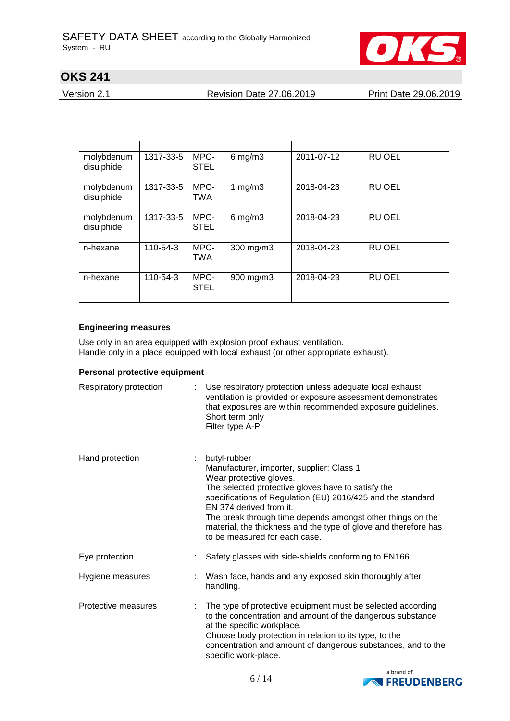

Version 2.1 Revision Date 27.06.2019 Print Date 29.06.2019

| molybdenum<br>disulphide | 1317-33-5 | MPC-<br><b>STEL</b> | $6$ mg/m $3$ | 2011-07-12 | <b>RU OEL</b> |
|--------------------------|-----------|---------------------|--------------|------------|---------------|
| molybdenum<br>disulphide | 1317-33-5 | MPC-<br><b>TWA</b>  | 1 $mg/m3$    | 2018-04-23 | <b>RU OEL</b> |
| molybdenum<br>disulphide | 1317-33-5 | MPC-<br><b>STEL</b> | $6$ mg/m $3$ | 2018-04-23 | <b>RU OEL</b> |
| n-hexane                 | 110-54-3  | MPC-<br><b>TWA</b>  | 300 mg/m3    | 2018-04-23 | <b>RU OEL</b> |
| n-hexane                 | 110-54-3  | MPC-<br><b>STEL</b> | 900 mg/m3    | 2018-04-23 | <b>RU OEL</b> |

### **Engineering measures**

Use only in an area equipped with explosion proof exhaust ventilation. Handle only in a place equipped with local exhaust (or other appropriate exhaust).

### **Personal protective equipment**

| Respiratory protection | Use respiratory protection unless adequate local exhaust<br>ventilation is provided or exposure assessment demonstrates<br>that exposures are within recommended exposure guidelines.<br>Short term only<br>Filter type A-P                                                                                                                                                                            |
|------------------------|--------------------------------------------------------------------------------------------------------------------------------------------------------------------------------------------------------------------------------------------------------------------------------------------------------------------------------------------------------------------------------------------------------|
| Hand protection        | butyl-rubber<br>Manufacturer, importer, supplier: Class 1<br>Wear protective gloves.<br>The selected protective gloves have to satisfy the<br>specifications of Regulation (EU) 2016/425 and the standard<br>EN 374 derived from it.<br>The break through time depends amongst other things on the<br>material, the thickness and the type of glove and therefore has<br>to be measured for each case. |
| Eye protection         | Safety glasses with side-shields conforming to EN166                                                                                                                                                                                                                                                                                                                                                   |
| Hygiene measures       | Wash face, hands and any exposed skin thoroughly after<br>handling.                                                                                                                                                                                                                                                                                                                                    |
| Protective measures    | The type of protective equipment must be selected according<br>to the concentration and amount of the dangerous substance<br>at the specific workplace.<br>Choose body protection in relation to its type, to the<br>concentration and amount of dangerous substances, and to the<br>specific work-place.                                                                                              |

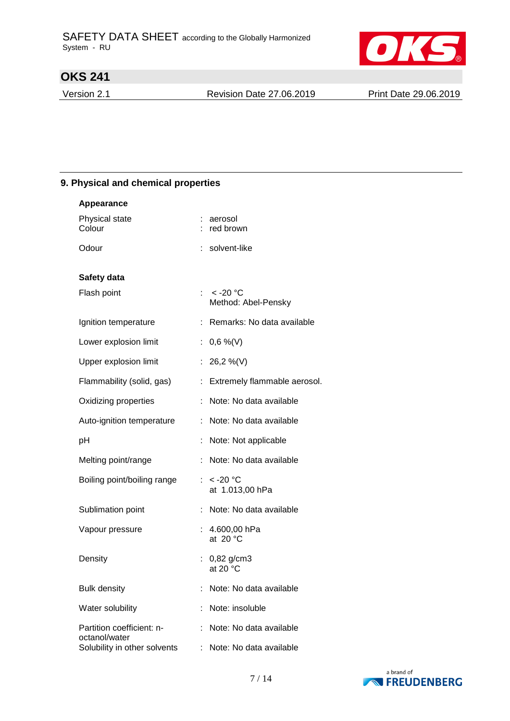

Version 2.1 Revision Date 27.06.2019 Print Date 29.06.2019

## **9. Physical and chemical properties**

| <b>Appearance</b>                          |    |                                     |
|--------------------------------------------|----|-------------------------------------|
| Physical state<br>Colour                   |    | aerosol<br>: red brown              |
| Odour                                      |    | : solvent-like                      |
| Safety data                                |    |                                     |
| Flash point                                |    | : $< -20$ °C<br>Method: Abel-Pensky |
| Ignition temperature                       |    | : Remarks: No data available        |
| Lower explosion limit                      |    | : $0,6\%$ (V)                       |
| Upper explosion limit                      |    | : 26,2 %(V)                         |
| Flammability (solid, gas)                  |    | : Extremely flammable aerosol.      |
| Oxidizing properties                       | ÷  | Note: No data available             |
| Auto-ignition temperature                  | ÷  | Note: No data available             |
| pH                                         |    | Note: Not applicable                |
| Melting point/range                        |    | Note: No data available             |
| Boiling point/boiling range                |    | : $< -20$ °C<br>at 1.013,00 hPa     |
| Sublimation point                          |    | Note: No data available             |
| Vapour pressure                            | ÷. | 4.600,00 hPa<br>at 20 $^{\circ}$ C  |
| Density                                    |    | 0,82 g/cm3<br>at 20 °C              |
| <b>Bulk density</b>                        |    | Note: No data available             |
| Water solubility                           |    | Note: insoluble                     |
| Partition coefficient: n-<br>octanol/water |    | Note: No data available             |
| Solubility in other solvents               | ÷  | Note: No data available             |

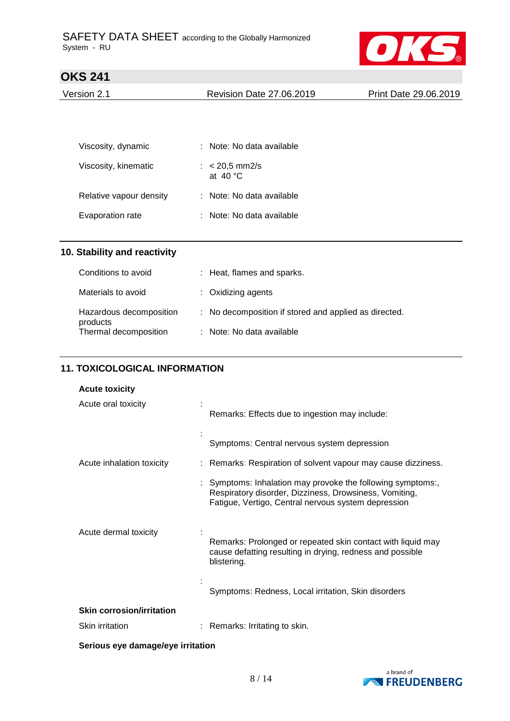

| Version 2.1 | Revision Date 27.06.2019 | Print Date 29.06.2019 |
|-------------|--------------------------|-----------------------|
|             |                          |                       |

| Viscosity, dynamic      | : Note: No data available             |
|-------------------------|---------------------------------------|
| Viscosity, kinematic    | : $< 20.5$ mm2/s<br>at $40^{\circ}$ C |
| Relative vapour density | : Note: No data available             |
| Evaporation rate        | Note: No data available               |

## **10. Stability and reactivity**

| Conditions to avoid                 | : Heat, flames and sparks.                            |
|-------------------------------------|-------------------------------------------------------|
| Materials to avoid                  | $:$ Oxidizing agents                                  |
| Hazardous decomposition<br>products | : No decomposition if stored and applied as directed. |
| Thermal decomposition               | : Note: No data available                             |

### **11. TOXICOLOGICAL INFORMATION**

### **Acute toxicity**

| Acute oral toxicity              | Remarks: Effects due to ingestion may include:                                                                                                                               |
|----------------------------------|------------------------------------------------------------------------------------------------------------------------------------------------------------------------------|
|                                  | Symptoms: Central nervous system depression                                                                                                                                  |
| Acute inhalation toxicity        | : Remarks: Respiration of solvent vapour may cause dizziness.                                                                                                                |
|                                  | : Symptoms: Inhalation may provoke the following symptoms:,<br>Respiratory disorder, Dizziness, Drowsiness, Vomiting,<br>Fatigue, Vertigo, Central nervous system depression |
| Acute dermal toxicity            | Remarks: Prolonged or repeated skin contact with liquid may<br>cause defatting resulting in drying, redness and possible<br>blistering.                                      |
|                                  | Symptoms: Redness, Local irritation, Skin disorders                                                                                                                          |
| <b>Skin corrosion/irritation</b> |                                                                                                                                                                              |
| <b>Skin irritation</b>           | Remarks: Irritating to skin.                                                                                                                                                 |

**Serious eye damage/eye irritation**

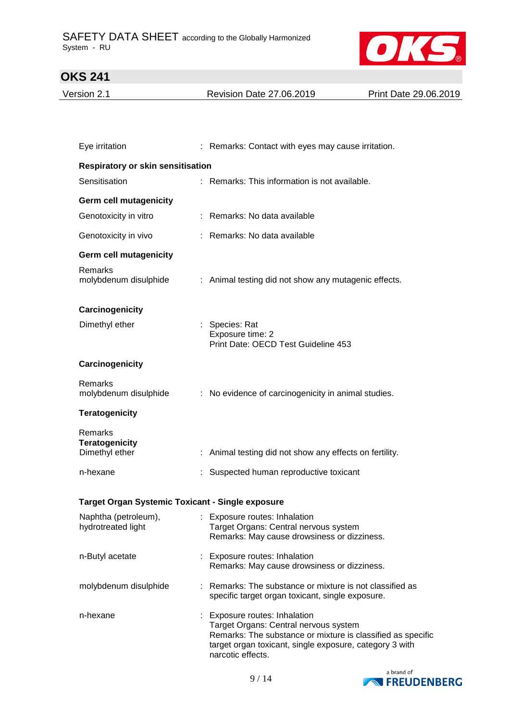

| Version 2.1 | <b>Revision Date 27.06.2019</b> | Print Date 29.06.2019 |
|-------------|---------------------------------|-----------------------|
|             |                                 |                       |

| Eye irritation                                     | : Remarks: Contact with eyes may cause irritation.                                                                                                                                                                    |
|----------------------------------------------------|-----------------------------------------------------------------------------------------------------------------------------------------------------------------------------------------------------------------------|
| <b>Respiratory or skin sensitisation</b>           |                                                                                                                                                                                                                       |
| Sensitisation                                      | : Remarks: This information is not available.                                                                                                                                                                         |
| <b>Germ cell mutagenicity</b>                      |                                                                                                                                                                                                                       |
| Genotoxicity in vitro                              | : Remarks: No data available                                                                                                                                                                                          |
| Genotoxicity in vivo                               | : Remarks: No data available                                                                                                                                                                                          |
| <b>Germ cell mutagenicity</b>                      |                                                                                                                                                                                                                       |
| Remarks<br>molybdenum disulphide                   | : Animal testing did not show any mutagenic effects.                                                                                                                                                                  |
| Carcinogenicity                                    |                                                                                                                                                                                                                       |
| Dimethyl ether                                     | : Species: Rat<br>Exposure time: 2<br>Print Date: OECD Test Guideline 453                                                                                                                                             |
| Carcinogenicity                                    |                                                                                                                                                                                                                       |
| Remarks<br>molybdenum disulphide                   | : No evidence of carcinogenicity in animal studies.                                                                                                                                                                   |
| <b>Teratogenicity</b>                              |                                                                                                                                                                                                                       |
| Remarks<br><b>Teratogenicity</b><br>Dimethyl ether | : Animal testing did not show any effects on fertility.                                                                                                                                                               |
| n-hexane                                           | : Suspected human reproductive toxicant                                                                                                                                                                               |
| Target Organ Systemic Toxicant - Single exposure   |                                                                                                                                                                                                                       |
| Naphtha (petroleum),<br>hydrotreated light         | : Exposure routes: Inhalation<br>Target Organs: Central nervous system<br>Remarks: May cause drowsiness or dizziness.                                                                                                 |
| n-Butyl acetate                                    | : Exposure routes: Inhalation<br>Remarks: May cause drowsiness or dizziness.                                                                                                                                          |
| molybdenum disulphide                              | : Remarks: The substance or mixture is not classified as<br>specific target organ toxicant, single exposure.                                                                                                          |
| n-hexane                                           | : Exposure routes: Inhalation<br>Target Organs: Central nervous system<br>Remarks: The substance or mixture is classified as specific<br>target organ toxicant, single exposure, category 3 with<br>narcotic effects. |

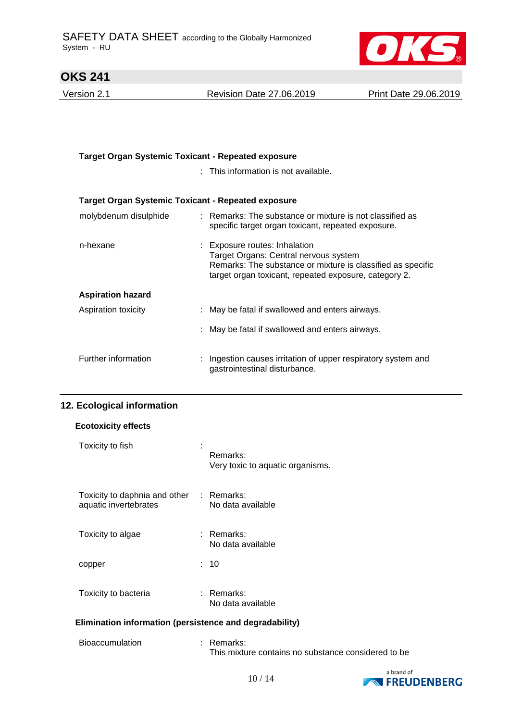

Version 2.1 Revision Date 27.06.2019 Print Date 29.06.2019

| <b>Target Organ Systemic Toxicant - Repeated exposure</b> |                                                                                                                                                                                                |  |
|-----------------------------------------------------------|------------------------------------------------------------------------------------------------------------------------------------------------------------------------------------------------|--|
|                                                           | : This information is not available.                                                                                                                                                           |  |
| Target Organ Systemic Toxicant - Repeated exposure        |                                                                                                                                                                                                |  |
| molybdenum disulphide                                     | : Remarks: The substance or mixture is not classified as<br>specific target organ toxicant, repeated exposure.                                                                                 |  |
| n-hexane                                                  | : Exposure routes: Inhalation<br>Target Organs: Central nervous system<br>Remarks: The substance or mixture is classified as specific<br>target organ toxicant, repeated exposure, category 2. |  |
| <b>Aspiration hazard</b>                                  |                                                                                                                                                                                                |  |
| Aspiration toxicity                                       | : May be fatal if swallowed and enters airways.                                                                                                                                                |  |
|                                                           | : May be fatal if swallowed and enters airways.                                                                                                                                                |  |
| Further information                                       | Ingestion causes irritation of upper respiratory system and<br>gastrointestinal disturbance.                                                                                                   |  |

### **12. Ecological information**

| <b>Ecotoxicity effects</b>                                        |  |                                              |  |
|-------------------------------------------------------------------|--|----------------------------------------------|--|
| Toxicity to fish                                                  |  | Remarks:<br>Very toxic to aquatic organisms. |  |
| Toxicity to daphnia and other : Remarks:<br>aquatic invertebrates |  | No data available                            |  |
| Toxicity to algae                                                 |  | : Remarks:<br>No data available              |  |
| copper                                                            |  | : 10                                         |  |
| Toxicity to bacteria                                              |  | ∶ Remarks:<br>No data available              |  |
| Elimination information (persistence and degradability)           |  |                                              |  |

| <b>Bioaccumulation</b> | : Remarks:                                          |  |
|------------------------|-----------------------------------------------------|--|
|                        | This mixture contains no substance considered to be |  |

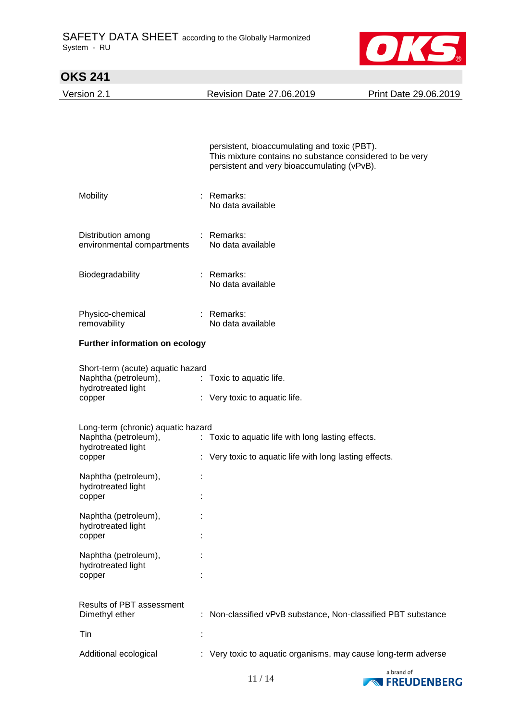

| <b>OKS 241</b>                                            |                                                                                                                                                         |                       |
|-----------------------------------------------------------|---------------------------------------------------------------------------------------------------------------------------------------------------------|-----------------------|
| Version 2.1                                               | <b>Revision Date 27.06.2019</b>                                                                                                                         | Print Date 29.06.2019 |
|                                                           |                                                                                                                                                         |                       |
|                                                           |                                                                                                                                                         |                       |
|                                                           | persistent, bioaccumulating and toxic (PBT).<br>This mixture contains no substance considered to be very<br>persistent and very bioaccumulating (vPvB). |                       |
| Mobility                                                  | : Remarks:<br>No data available                                                                                                                         |                       |
| Distribution among<br>environmental compartments          | : Remarks:<br>No data available                                                                                                                         |                       |
| Biodegradability                                          | : Remarks:<br>No data available                                                                                                                         |                       |
| Physico-chemical<br>removability                          | : Remarks:<br>No data available                                                                                                                         |                       |
| Further information on ecology                            |                                                                                                                                                         |                       |
| Short-term (acute) aquatic hazard<br>Naphtha (petroleum), | : Toxic to aquatic life.                                                                                                                                |                       |
| hydrotreated light<br>copper                              | : Very toxic to aquatic life.                                                                                                                           |                       |
| Long-term (chronic) aquatic hazard                        |                                                                                                                                                         |                       |
| Naphtha (petroleum),                                      | : Toxic to aquatic life with long lasting effects.                                                                                                      |                       |
| hydrotreated light<br>copper                              | : Very toxic to aquatic life with long lasting effects.                                                                                                 |                       |
| Naphtha (petroleum),<br>hydrotreated light                |                                                                                                                                                         |                       |
| copper                                                    |                                                                                                                                                         |                       |
| Naphtha (petroleum),<br>hydrotreated light<br>copper      |                                                                                                                                                         |                       |
| Naphtha (petroleum),                                      |                                                                                                                                                         |                       |
| hydrotreated light<br>copper                              |                                                                                                                                                         |                       |
| Results of PBT assessment<br>Dimethyl ether               | : Non-classified vPvB substance, Non-classified PBT substance                                                                                           |                       |
| Tin                                                       |                                                                                                                                                         |                       |
| Additional ecological                                     | : Very toxic to aquatic organisms, may cause long-term adverse                                                                                          |                       |

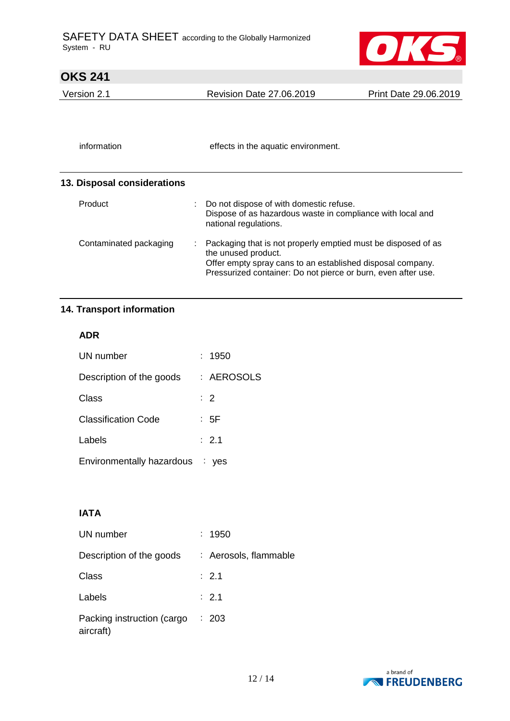

# **OKS 241**  Version 2.1 Revision Date 27.06.2019 Print Date 29.06.2019 information effects in the aquatic environment. **13. Disposal considerations** Product : Do not dispose of with domestic refuse. Dispose of as hazardous waste in compliance with local and national regulations. Contaminated packaging : Packaging that is not properly emptied must be disposed of as the unused product. Offer empty spray cans to an established disposal company. Pressurized container: Do not pierce or burn, even after use.

### **14. Transport information**

#### **ADR**

| UN number                       | : 1950           |
|---------------------------------|------------------|
| Description of the goods        | : AEROSOLS       |
| Class                           | $\therefore$ 2   |
| <b>Classification Code</b>      | : 5F             |
| Labels                          | $\therefore$ 2.1 |
| Environmentally hazardous : yes |                  |

## **IATA**

| UN number                               | : 1950                |
|-----------------------------------------|-----------------------|
| Description of the goods                | : Aerosols, flammable |
| Class                                   | : 2.1                 |
| Labels                                  | $\therefore$ 2.1      |
| Packing instruction (cargo<br>aircraft) | : 203                 |

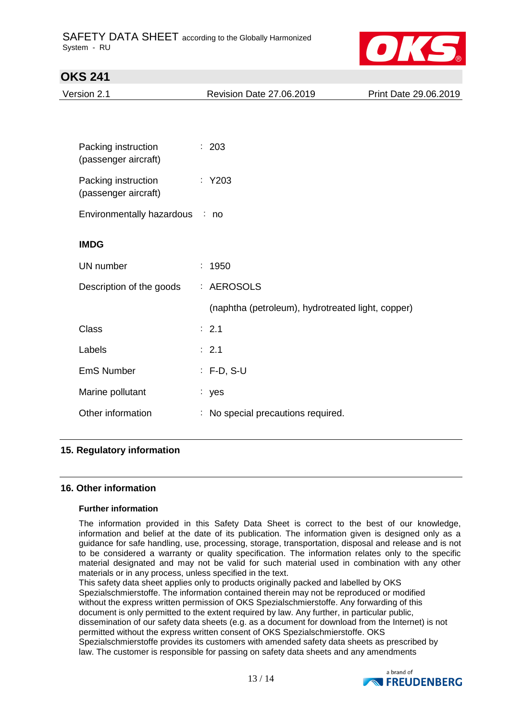

| Version 2.1                                 | <b>Revision Date 27.06.2019</b>                   | Print Date 29.06.2019 |
|---------------------------------------------|---------------------------------------------------|-----------------------|
|                                             |                                                   |                       |
| Packing instruction<br>(passenger aircraft) | : 203                                             |                       |
| Packing instruction<br>(passenger aircraft) | $:$ Y203                                          |                       |
| Environmentally hazardous : no              |                                                   |                       |
| <b>IMDG</b>                                 |                                                   |                       |
| UN number                                   | : 1950                                            |                       |
| Description of the goods                    | : AEROSOLS                                        |                       |
|                                             | (naphtha (petroleum), hydrotreated light, copper) |                       |
| <b>Class</b>                                | : 2.1                                             |                       |
| Labels                                      | $\therefore$ 2.1                                  |                       |
| <b>EmS Number</b>                           | $: F-D, S-U$                                      |                       |
| Marine pollutant                            | : yes                                             |                       |
| Other information                           | : No special precautions required.                |                       |

### **15. Regulatory information**

#### **16. Other information**

#### **Further information**

The information provided in this Safety Data Sheet is correct to the best of our knowledge, information and belief at the date of its publication. The information given is designed only as a guidance for safe handling, use, processing, storage, transportation, disposal and release and is not to be considered a warranty or quality specification. The information relates only to the specific material designated and may not be valid for such material used in combination with any other materials or in any process, unless specified in the text.

This safety data sheet applies only to products originally packed and labelled by OKS Spezialschmierstoffe. The information contained therein may not be reproduced or modified without the express written permission of OKS Spezialschmierstoffe. Any forwarding of this document is only permitted to the extent required by law. Any further, in particular public, dissemination of our safety data sheets (e.g. as a document for download from the Internet) is not permitted without the express written consent of OKS Spezialschmierstoffe. OKS Spezialschmierstoffe provides its customers with amended safety data sheets as prescribed by law. The customer is responsible for passing on safety data sheets and any amendments